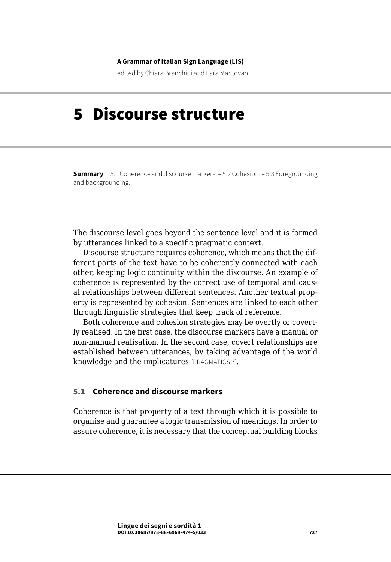#### **A Grammar of Italian Sign Language (LIS)**

edited by Chiara Branchini and Lara Mantovan

# 5 Discourse structure

**Summary** 5.1 Coherence and discourse markers. – [5.2 Cohesion.](#page-8-0) – [5.3 Foregrounding](#page-12-0)  [and backgrounding.](#page-12-0)

The discourse level goes beyond the sentence level and it is formed by utterances linked to a specific pragmatic context.

Discourse structure requires coherence, which means that the different parts of the text have to be coherently connected with each other, keeping logic continuity within the discourse. An example of coherence is represented by the correct use of temporal and causal relationships between different sentences. Another textual property is represented by cohesion. Sentences are linked to each other through linguistic strategies that keep track of reference.

Both coherence and cohesion strategies may be overtly or covertly realised. In the first case, the discourse markers have a manual or non-manual realisation. In the second case, covert relationships are established between utterances, by taking advantage of the world knowledge and the implicatures [PRAGMATICS 7].

## **5.1 Coherence and discourse markers**

Coherence is that property of a text through which it is possible to organise and guarantee a logic transmission of meanings. In order to assure coherence, it is necessary that the conceptual building blocks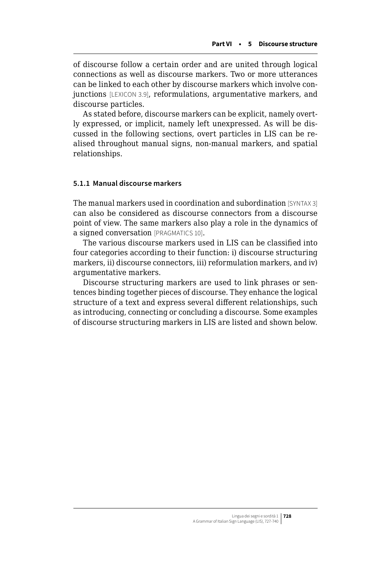of discourse follow a certain order and are united through logical connections as well as discourse markers. Two or more utterances can be linked to each other by discourse markers which involve conjunctions [LEXICON 3.9], reformulations, argumentative markers, and discourse particles.

As stated before, discourse markers can be explicit, namely overtly expressed, or implicit, namely left unexpressed. As will be discussed in the following sections, overt particles in LIS can be realised throughout manual signs, non-manual markers, and spatial relationships.

## **5.1.1 Manual discourse markers**

The manual markers used in coordination and subordination [SYNTAX 3] can also be considered as discourse connectors from a discourse point of view. The same markers also play a role in the dynamics of a signed conversation [PRAGMATICS 10].

The various discourse markers used in LIS can be classified into four categories according to their function: i) discourse structuring markers, ii) discourse connectors, iii) reformulation markers, and iv) argumentative markers.

Discourse structuring markers are used to link phrases or sentences binding together pieces of discourse. They enhance the logical structure of a text and express several different relationships, such as introducing, connecting or concluding a discourse. Some examples of discourse structuring markers in LIS are listed and shown below.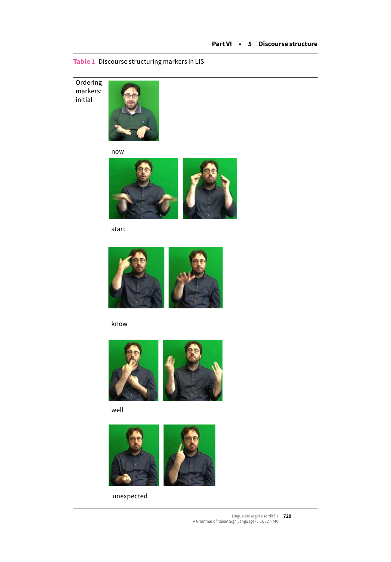**Table 1** Discourse structuring markers in LIS

**Ordering** markers: initial



now



start



know



well



unexpected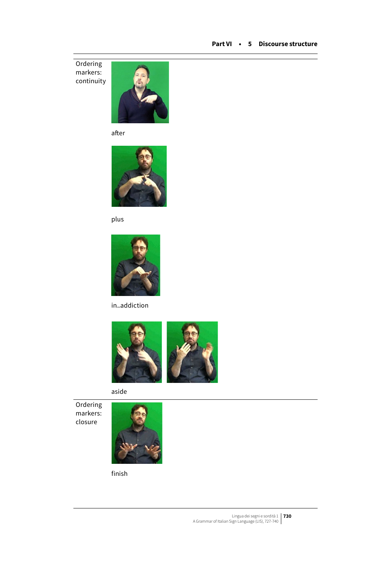**Ordering** markers: continuity



after



plus



in\_addiction



aside

**Ordering** markers: closure



finish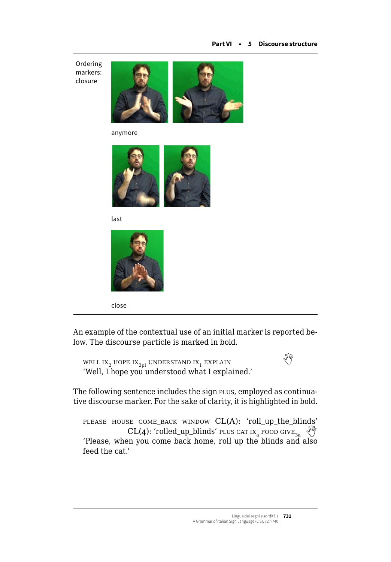Ordering markers: closure



anymore



last



close

An example of the contextual use of an initial marker is reported below. The discourse particle is marked in bold.

WELLIX<sub>2</sub> HOPE IX<sub>2pl</sub> UNDERSTAND IX<sub>1</sub> EXPLAIN 'Well, I hope you understood what I explained.'

The following sentence includes the sign PLUS, employed as continuative discourse marker. For the sake of clarity, it is highlighted in bold.

please house come\_back window CL(A): 'roll\_up\_the\_blinds' CL(4): 'rolled\_up\_blinds' plus cat  $IX_a$  food give<sub>3a</sub>  $\sqrt{\frac{M}{2}}$ 'Please, when you come back home, roll up the blinds and also feed the cat.'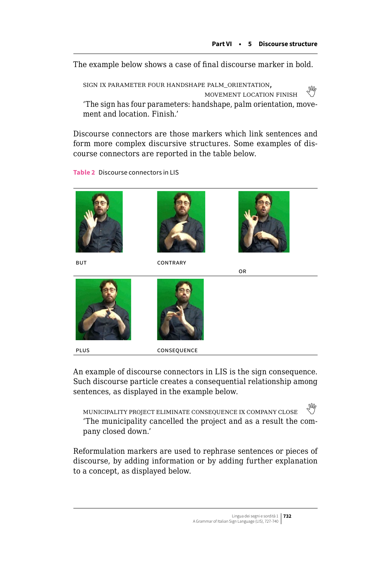The example below shows a case of final discourse marker in bold.

sign ix parameter four handshape palm\_orientation,  $\frac{1}{2}$ MOVEMENT LOCATION FINISH 'The sign has four parameters: handshape, palm orientation, movement and location. Finish.'

Discourse connectors are those markers which link sentences and form more complex discursive structures. Some examples of discourse connectors are reported in the table below.

**Table 2** Discourse connectors in LIS



plus consequence

An example of discourse connectors in LIS is the sign consequence. Such discourse particle creates a consequential relationship among sentences, as displayed in the example below.

municipality project eliminate consequence ix company close 'The municipality cancelled the project and as a result the company closed down.'

Reformulation markers are used to rephrase sentences or pieces of discourse, by adding information or by adding further explanation to a concept, as displayed below.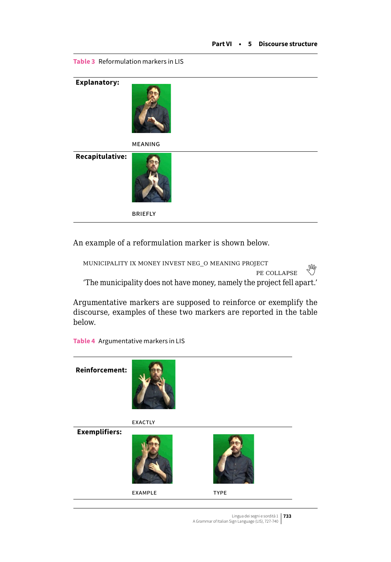**Explanatory:**  meaning **Recapitulative: BRIEFLY** 

An example of a reformulation marker is shown below.

| MUNICIPALITY IX MONEY INVEST NEG O MEANING PROJECT                     |    |
|------------------------------------------------------------------------|----|
| PE COLLAPSE                                                            | LM |
| 'The municipality does not have money, namely the project fell apart.' |    |

Argumentative markers are supposed to reinforce or exemplify the discourse, examples of these two markers are reported in the table below.

**Reinforcement:**  exactly  **Exemplifiers:**  EXAMPLE TYPE

**Table 4** Argumentative markers in LIS

**Table 3** Reformulation markers in LIS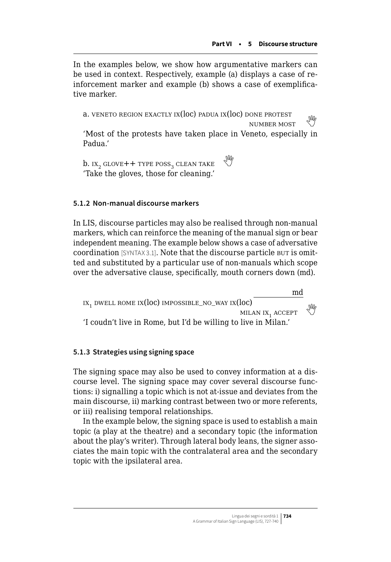In the examples below, we show how argumentative markers can be used in context. Respectively, example (a) displays a case of reinforcement marker and example (b) shows a case of exemplificative marker.

a. VENETO REGION EXACTLY IX( $loc$ ) padua IX( $loc$ ) done protest NUMBER MOST 'Most of the protests have taken place in Veneto, especially in Padua.'

 $b.$  IX<sub>2</sub> GLOVE++ TYPE POSS<sub>2</sub> CLEAN TAKE 'Take the gloves, those for cleaning.'

## **5.1.2 Non-manual discourse markers**

In LIS, discourse particles may also be realised through non-manual markers, which can reinforce the meaning of the manual sign or bear independent meaning. The example below shows a case of adversative coordination [SYNTAX 3.1]. Note that the discourse particle but is omitted and substituted by a particular use of non-manuals which scope over the adversative clause, specifically, mouth corners down (md).



### **5.1.3 Strategies using signing space**

The signing space may also be used to convey information at a discourse level. The signing space may cover several discourse functions: i) signalling a topic which is not at-issue and deviates from the main discourse, ii) marking contrast between two or more referents, or iii) realising temporal relationships.

In the example below, the signing space is used to establish a main topic (a play at the theatre) and a secondary topic (the information about the play's writer). Through lateral body leans, the signer associates the main topic with the contralateral area and the secondary topic with the ipsilateral area.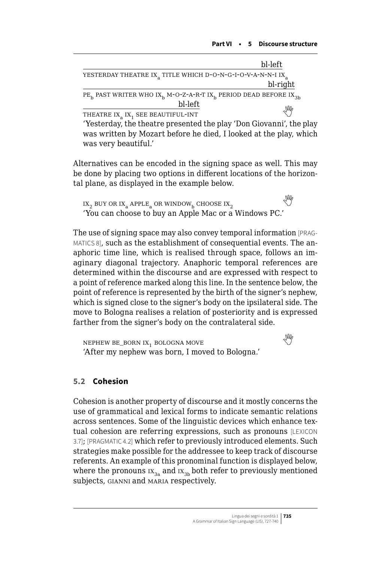<span id="page-8-0"></span>

|                                                                                                        | bl-left  |
|--------------------------------------------------------------------------------------------------------|----------|
| YESTERDAY THEATRE IX TITLE WHICH D-O-N-G-I-O-V-A-N-N-I IX                                              |          |
|                                                                                                        | bl-right |
| $PE_h$ PAST WRITER WHO IX <sub>b</sub> M-O-Z-A-R-T IX <sub>b</sub> PERIOD DEAD BEFORE IX <sub>3b</sub> |          |
| bl-left                                                                                                |          |
| THEATRE IX <sub>a</sub> IX <sub>1</sub> SEE BEAUTIFUL-INT                                              | Ng       |
|                                                                                                        |          |

'Yesterday, the theatre presented the play 'Don Giovanni', the play was written by Mozart before he died, I looked at the play, which was very beautiful.'

Alternatives can be encoded in the signing space as well. This may be done by placing two options in different locations of the horizontal plane, as displayed in the example below.

ix<sub>2</sub>buy or ix<sub>a</sub> apple<sub>a</sub> or window<sub>b</sub> choose ix<sub>2</sub> 'You can choose to buy an Apple Mac or a Windows PC.'

The use of signing space may also convey temporal information [PRAG-MATICS 8], such as the establishment of consequential events. The anaphoric time line, which is realised through space, follows an imaginary diagonal trajectory. Anaphoric temporal references are determined within the discourse and are expressed with respect to a point of reference marked along this line. In the sentence below, the point of reference is represented by the birth of the signer's nephew, which is signed close to the signer's body on the ipsilateral side. The move to Bologna realises a relation of posteriority and is expressed farther from the signer's body on the contralateral side.

NEPHEWBE\_BORN IX<sub>1</sub> BOLOGNA MOVE 'After my nephew was born, I moved to Bologna.'

## **5.2 Cohesion**

Cohesion is another property of discourse and it mostly concerns the use of grammatical and lexical forms to indicate semantic relations across sentences. Some of the linguistic devices which enhance textual cohesion are referring expressions, such as pronouns [LEXICON 3.7]; [PRAGMATIC 4.2] which refer to previously introduced elements. Such strategies make possible for the addressee to keep track of discourse referents. An example of this pronominal function is displayed below, where the pronouns  $IX_{3a}$  and  $IX_{3b}$  both refer to previously mentioned subjects, gianni and maria respectively.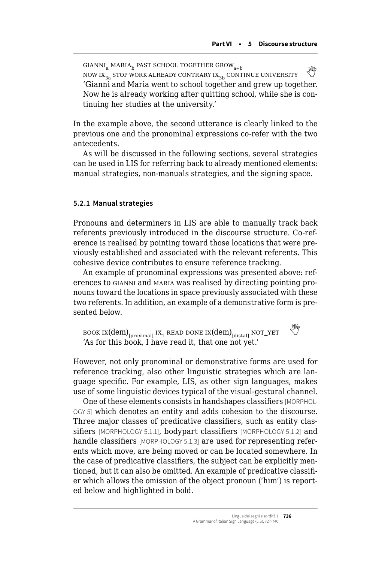$GIANNI<sub>a</sub> MARIA<sub>b</sub>$  past school together grow<sub>a+b</sub> GIANNI<sub>a</sub> MARIA<sub>b</sub> PAST SCHOOL TOGETHER GROW<sub>a+b</sub><br>NOW IX<sub>2</sub>, STOP WORK ALREADY CONTRARY IX<sub>2b</sub> CONTINUE UNIVERSITY 'Gianni and Maria went to school together and grew up together. Now he is already working after quitting school, while she is continuing her studies at the university.'

In the example above, the second utterance is clearly linked to the previous one and the pronominal expressions co-refer with the two antecedents.

As will be discussed in the following sections, several strategies can be used in LIS for referring back to already mentioned elements: manual strategies, non-manuals strategies, and the signing space.

#### **5.2.1 Manual strategies**

Pronouns and determiners in LIS are able to manually track back referents previously introduced in the discourse structure. Co-reference is realised by pointing toward those locations that were previously established and associated with the relevant referents. This cohesive device contributes to ensure reference tracking.

An example of pronominal expressions was presented above: references to gianni and maria was realised by directing pointing pronouns toward the locations in space previously associated with these two referents. In addition, an example of a demonstrative form is presented below.

BOOK IX(dem)<sub>[proximal]</sub> IX<sub>1</sub> READ DONE IX(dem)<sub>[distal]</sub> NOT\_YET 'As for this book, I have read it, that one not yet.'

However, not only pronominal or demonstrative forms are used for reference tracking, also other linguistic strategies which are language specific. For example, LIS, as other sign languages, makes use of some linguistic devices typical of the visual-gestural channel.

One of these elements consists in handshapes classifiers [MORPHOL-OGY 5] which denotes an entity and adds cohesion to the discourse. Three major classes of predicative classifiers, such as entity classifiers [MORPHOLOGY 5.1.1], bodypart classifiers [MORPHOLOGY 5.1.2] and handle classifiers [MORPHOLOGY 5.1.3] are used for representing referents which move, are being moved or can be located somewhere. In the case of predicative classifiers, the subject can be explicitly mentioned, but it can also be omitted. An example of predicative classifier which allows the omission of the object pronoun ('him') is reported below and highlighted in bold.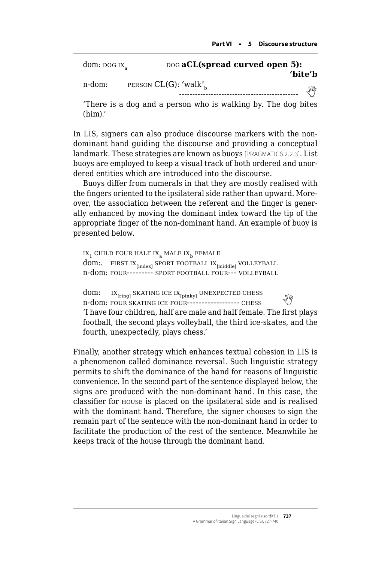| dom: $\overline{D}$ DOG IX <sub>2</sub> | DOG aCL(spread curved open 5):                               |
|-----------------------------------------|--------------------------------------------------------------|
| n-dom:                                  | 'bite'b<br>PERSON $CL(G)$ : 'walk' <sub>b</sub>              |
|                                         | Ind                                                          |
|                                         | There is a dog and a person who is walking by. The dog bites |

In LIS, signers can also produce discourse markers with the nondominant hand guiding the discourse and providing a conceptual landmark. These strategies are known as buoys [PRAGMATICS 2.2.3]. List

(him).'

buoys are employed to keep a visual track of both ordered and unordered entities which are introduced into the discourse.

Buoys differ from numerals in that they are mostly realised with the fingers oriented to the ipsilateral side rather than upward. Moreover, the association between the referent and the finger is generally enhanced by moving the dominant index toward the tip of the appropriate finger of the non-dominant hand. An example of buoy is presented below.

```
\text{IX}_1 CHILD FOUR HALF \text{IX}_\text{a} MALE \text{IX}_\text{b} FEMALE
dom:. FIRST IX_{\text{index}} SPORT FOOTBALL IX_{\text{inddel}} VOLLEYBALL
n-dom: four--------- sport football four--- volleyball
```
dom:  $IX_{[ring]}$  SKATING ICE  $IX_{[pinkv]}$  UNEXPECTED CHESS  $n-\text{down: }$   $\frac{N_{\text{[ring]}}}{N}$  is a  $\frac{N_{\text{[ring]}}}{N}$  on Early cheap of Euss  $\frac{N_{\text{[ring]}}}{N}$ 'I have four children, half are male and half female. The first plays football, the second plays volleyball, the third ice-skates, and the fourth, unexpectedly, plays chess.'

Finally, another strategy which enhances textual cohesion in LIS is a phenomenon called dominance reversal. Such linguistic strategy permits to shift the dominance of the hand for reasons of linguistic convenience. In the second part of the sentence displayed below, the signs are produced with the non-dominant hand. In this case, the classifier for house is placed on the ipsilateral side and is realised with the dominant hand. Therefore, the signer chooses to sign the remain part of the sentence with the non-dominant hand in order to facilitate the production of the rest of the sentence. Meanwhile he keeps track of the house through the dominant hand.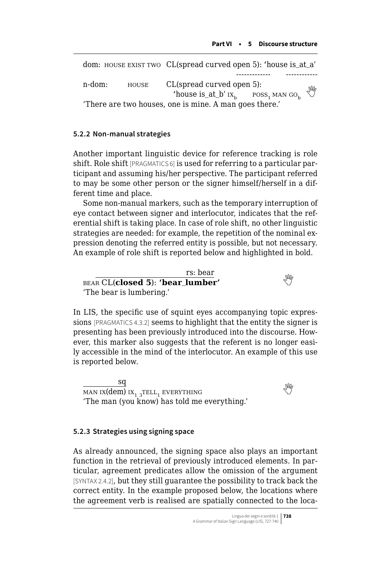```
dom: HOUSE EXIST TWO CL(spread curved open 5): 'house is at a'
                                              ------------- ------------
n-dom: HOUSE CL(spread curved open 5):
                           'house is_at_b' ix_b poss<sub>1</sub> man go<sub>b</sub>
'There are two houses, one is mine. A man goes there.'
```
### **5.2.2 Non-manual strategies**

Another important linguistic device for reference tracking is role shift. Role shift [PRAGMATICS 6] is used for referring to a particular participant and assuming his/her perspective. The participant referred to may be some other person or the signer himself/herself in a different time and place.

Some non-manual markers, such as the temporary interruption of eye contact between signer and interlocutor, indicates that the referential shift is taking place. In case of role shift, no other linguistic strategies are needed: for example, the repetition of the nominal expression denoting the referred entity is possible, but not necessary. An example of role shift is reported below and highlighted in bold.

rs: bear bear CL(**closed 5**): **'bear**\_**lumber'**  'The bear is lumbering.'

In LIS, the specific use of squint eyes accompanying topic expressions [PRAGMATICS 4.3.2] seems to highlight that the entity the signer is presenting has been previously introduced into the discourse. However, this marker also suggests that the referent is no longer easily accessible in the mind of the interlocutor. An example of this use is reported below.

sq  $\frac{M}{\text{MAN IX}}$  $\frac{M}{\text{MAN IX}}$  $\frac{M}{\text{MAN IX}}$  ix<sub>1 3</sub> tell<sub>1</sub> everything 'The man (you know) has told me everything.'

#### **5.2.3 Strategies using signing space**

As already announced, the signing space also plays an important function in the retrieval of previously introduced elements. In particular, agreement predicates allow the omission of the argument [SYNTAX 2.4.2], but they still guarantee the possibility to track back the correct entity. In the example proposed below, the locations where the agreement verb is realised are spatially connected to the loca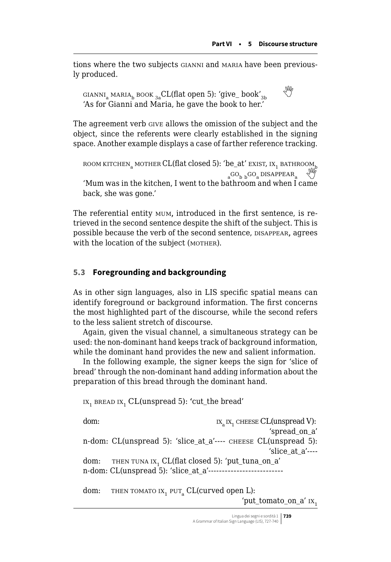<span id="page-12-0"></span>tions where the two subjects gianni and maria have been previously produced.

GIANNI<sub>a</sub> MARIA<sub>b</sub> BOOK <sub>3a</sub>CL(flat open 5): 'give\_ book'<sub>3b</sub> 'As for Gianni and Maria, he gave the book to her.'

The agreement verb give allows the omission of the subject and the object, since the referents were clearly established in the signing space. Another example displays a case of farther reference tracking.

room kitchen, mother CL(flat closed 5): 'be\_at' exist, ix, bathroom,  $_{a}$ GO<sub>b b</sub>GO<sub>a</sub> DISAPPEAR<sub>a</sub> 'Mum was in the kitchen, I went to the bathroom and when I came back, she was gone.'

The referential entity mum, introduced in the first sentence, is retrieved in the second sentence despite the shift of the subject. This is possible because the verb of the second sentence, DISAPPEAR, agrees with the location of the subject (MOTHER).

## **5.3 Foregrounding and backgrounding**

As in other sign languages, also in LIS specific spatial means can identify foreground or background information. The first concerns the most highlighted part of the discourse, while the second refers to the less salient stretch of discourse.

Again, given the visual channel, a simultaneous strategy can be used: the non-dominant hand keeps track of background information, while the dominant hand provides the new and salient information.

In the following example, the signer keeps the sign for 'slice of bread' through the non-dominant hand adding information about the preparation of this bread through the dominant hand.

 $IX<sub>1</sub>$  bread  $IX<sub>1</sub>$  CL(unspread 5): 'cut\_the bread'

dom:  $\alpha_{\text{N}}$  ix<sub>1</sub> cheese CL(unspread V): 'spread\_on\_a' n-dom: CL(unspread 5): 'slice\_at\_a'---- cheese CL(unspread 5): 'slice at a'---dom: THEN TUNA IX, CL(flat closed 5): 'put\_tuna\_on\_a' n-dom: CL(unspread 5): 'slice\_at\_a'------------------------- dom: THEN TOMATO IX<sub>1</sub> PUT<sub>a</sub> CL(curved open L):

'put\_tomato\_on\_a'  $ix_1$